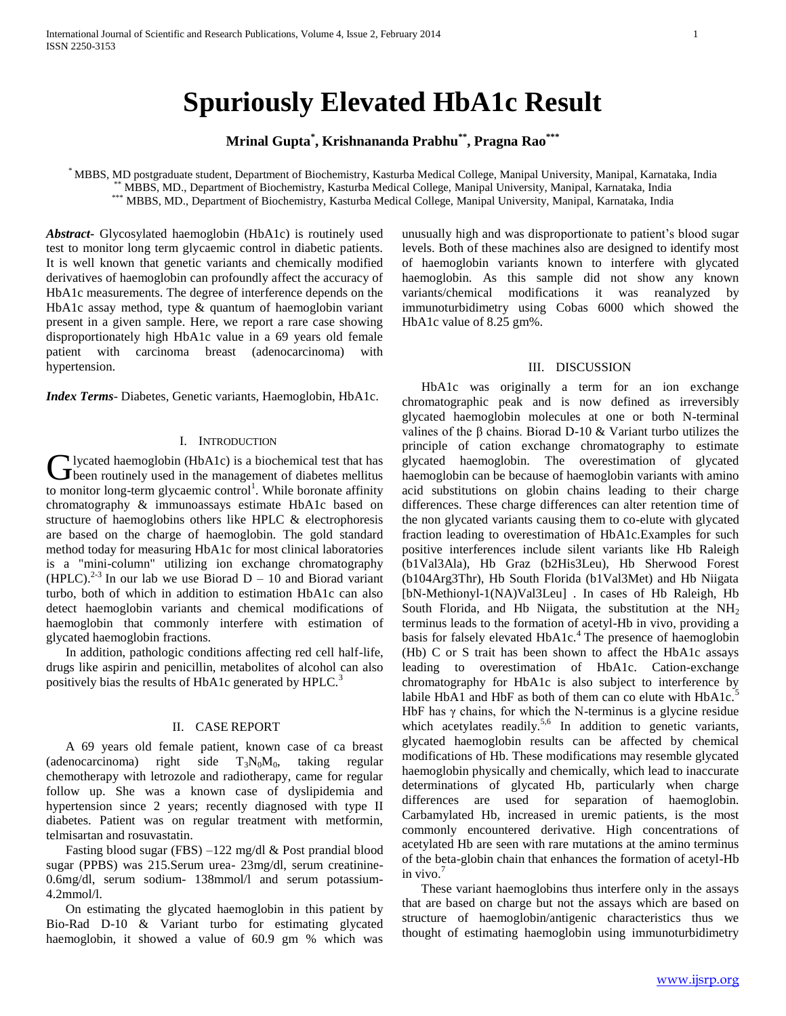# **Spuriously Elevated HbA1c Result**

**Mrinal Gupta\* , Krishnananda Prabhu\*\*, Pragna Rao\*\*\***

\* MBBS, MD postgraduate student, Department of Biochemistry, Kasturba Medical College, Manipal University, Manipal, Karnataka, India \* MBBS, MD., Department of Biochemistry, Kasturba Medical College, Manipal University, Manipal, Karnataka, India \*\*\* MBBS, MD., Department of Biochemistry, Kasturba Medical College, Manipal University, Manipal, Karnataka, India

*Abstract***-** Glycosylated haemoglobin (HbA1c) is routinely used test to monitor long term glycaemic control in diabetic patients. It is well known that genetic variants and chemically modified derivatives of haemoglobin can profoundly affect the accuracy of HbA1c measurements. The degree of interference depends on the HbA1c assay method, type & quantum of haemoglobin variant present in a given sample. Here, we report a rare case showing disproportionately high HbA1c value in a 69 years old female patient with carcinoma breast (adenocarcinoma) with hypertension.

*Index Terms*- Diabetes, Genetic variants, Haemoglobin, HbA1c.

## I. INTRODUCTION

lycated haemoglobin (HbA1c) is a biochemical test that has **C** lycated haemoglobin (HbA1c) is a biochemical test that has<br>
been routinely used in the management of diabetes mellitus to monitor long-term glycaemic control<sup>1</sup>. While boronate affinity chromatography & immunoassays estimate HbA1c based on structure of haemoglobins others like HPLC & electrophoresis are based on the charge of haemoglobin. The gold standard method today for measuring HbA1c for most clinical laboratories is a "mini-column" utilizing ion exchange chromatography (HPLC).<sup>2-3</sup> In our lab we use Biorad D – 10 and Biorad variant turbo, both of which in addition to estimation HbA1c can also detect haemoglobin variants and chemical modifications of haemoglobin that commonly interfere with estimation of glycated haemoglobin fractions.

 In addition, pathologic conditions affecting red cell half-life, drugs like aspirin and penicillin, metabolites of alcohol can also positively bias the results of HbA1c generated by HPLC.<sup>3</sup>

## II. CASE REPORT

 A 69 years old female patient, known case of ca breast (adenocarcinoma) right side  $T_3N_0M_0$ , taking regular chemotherapy with letrozole and radiotherapy, came for regular follow up. She was a known case of dyslipidemia and hypertension since 2 years; recently diagnosed with type II diabetes. Patient was on regular treatment with metformin, telmisartan and rosuvastatin.

 Fasting blood sugar (FBS) –122 mg/dl & Post prandial blood sugar (PPBS) was 215.Serum urea- 23mg/dl, serum creatinine-0.6mg/dl, serum sodium- 138mmol/l and serum potassium-4.2mmol/l.

 On estimating the glycated haemoglobin in this patient by Bio-Rad D-10 & Variant turbo for estimating glycated haemoglobin, it showed a value of 60.9 gm % which was

unusually high and was disproportionate to patient's blood sugar levels. Both of these machines also are designed to identify most of haemoglobin variants known to interfere with glycated haemoglobin. As this sample did not show any known variants/chemical modifications it was reanalyzed by immunoturbidimetry using Cobas 6000 which showed the HbA1c value of 8.25 gm%.

## III. DISCUSSION

 HbA1c was originally a term for an ion exchange chromatographic peak and is now defined as irreversibly glycated haemoglobin molecules at one or both N-terminal valines of the β chains. Biorad D-10 & Variant turbo utilizes the principle of cation exchange chromatography to estimate glycated haemoglobin. The overestimation of glycated haemoglobin can be because of haemoglobin variants with amino acid substitutions on globin chains leading to their charge differences. These charge differences can alter retention time of the non glycated variants causing them to co-elute with glycated fraction leading to overestimation of HbA1c.Examples for such positive interferences include silent variants like Hb Raleigh (b1Val3Ala), Hb Graz (b2His3Leu), Hb Sherwood Forest (b104Arg3Thr), Hb South Florida (b1Val3Met) and Hb Niigata [bN-Methionyl-1(NA)Val3Leu] . In cases of Hb Raleigh, Hb South Florida, and Hb Niigata, the substitution at the  $NH<sub>2</sub>$ terminus leads to the formation of acetyl-Hb in vivo, providing a basis for falsely elevated  $HbA1c<sup>4</sup>$ . The presence of haemoglobin (Hb) C or S trait has been shown to affect the HbA1c assays leading to overestimation of HbA1c. Cation-exchange chromatography for HbA1c is also subject to interference by labile HbA1 and HbF as both of them can co elute with HbA1c.<sup>5</sup> HbF has  $\gamma$  chains, for which the N-terminus is a glycine residue which acetylates readily.<sup>5,6</sup> In addition to genetic variants, glycated haemoglobin results can be affected by chemical modifications of Hb. These modifications may resemble glycated haemoglobin physically and chemically, which lead to inaccurate determinations of glycated Hb, particularly when charge differences are used for separation of haemoglobin. Carbamylated Hb, increased in uremic patients, is the most commonly encountered derivative. High concentrations of acetylated Hb are seen with rare mutations at the amino terminus of the beta-globin chain that enhances the formation of acetyl-Hb in vivo. $7$ 

 These variant haemoglobins thus interfere only in the assays that are based on charge but not the assays which are based on structure of haemoglobin/antigenic characteristics thus we thought of estimating haemoglobin using immunoturbidimetry